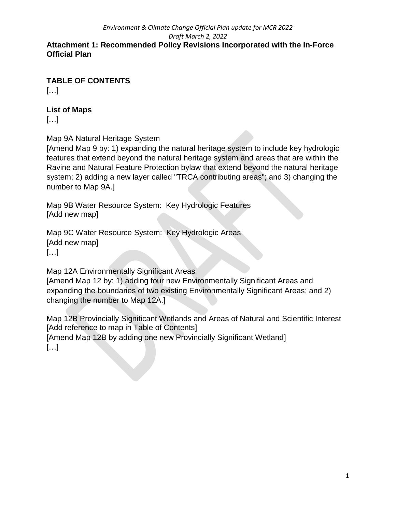#### *Environment & Climate Change Official Plan update for MCR 2022 Draft March 2, 2022* **Attachment 1: Recommended Policy Revisions Incorporated with the In-Force Official Plan**

**TABLE OF CONTENTS**

[…]

### **List of Maps**

[…]

Map 9A Natural Heritage System

[Amend Map 9 by: 1) expanding the natural heritage system to include key hydrologic features that extend beyond the natural heritage system and areas that are within the Ravine and Natural Feature Protection bylaw that extend beyond the natural heritage system; 2) adding a new layer called "TRCA contributing areas"; and 3) changing the number to Map 9A.]

Map 9B Water Resource System: Key Hydrologic Features [Add new map]

Map 9C Water Resource System: Key Hydrologic Areas [Add new map] […]

Map 12A Environmentally Significant Areas [Amend Map 12 by: 1) adding four new Environmentally Significant Areas and expanding the boundaries of two existing Environmentally Significant Areas; and 2) changing the number to Map 12A.]

Map 12B Provincially Significant Wetlands and Areas of Natural and Scientific Interest [Add reference to map in Table of Contents] [Amend Map 12B by adding one new Provincially Significant Wetland] […]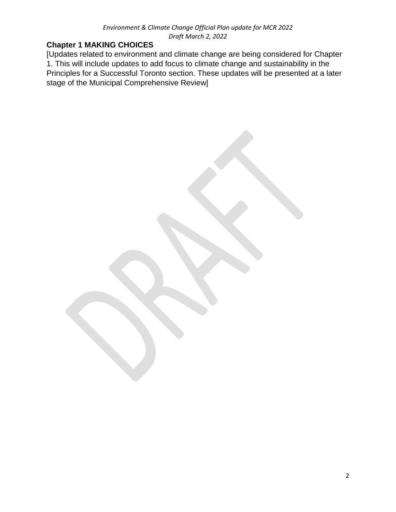### **Chapter 1 MAKING CHOICES**

[Updates related to environment and climate change are being considered for Chapter 1. This will include updates to add focus to climate change and sustainability in the Principles for a Successful Toronto section. These updates will be presented at a later stage of the Municipal Comprehensive Review]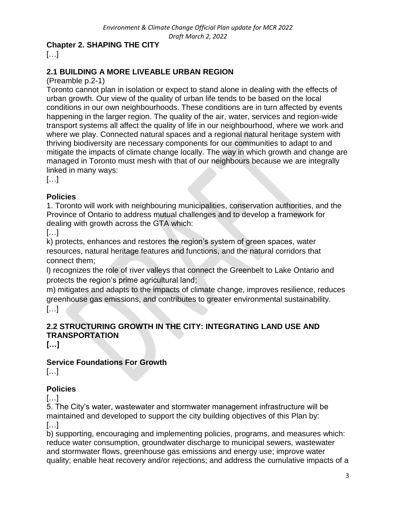### **Chapter 2. SHAPING THE CITY**

[…]

# **2.1 BUILDING A MORE LIVEABLE URBAN REGION**

(Preamble p.2-1)

Toronto cannot plan in isolation or expect to stand alone in dealing with the effects of urban growth. Our view of the quality of urban life tends to be based on the local conditions in our own neighbourhoods. These conditions are in turn affected by events happening in the larger region. The quality of the air, water, services and region-wide transport systems all affect the quality of life in our neighbourhood, where we work and where we play. Connected natural spaces and a regional natural heritage system with thriving biodiversity are necessary components for our communities to adapt to and mitigate the impacts of climate change locally. The way in which growth and change are managed in Toronto must mesh with that of our neighbours because we are integrally linked in many ways:

[…]

### **Policies**

1. Toronto will work with neighbouring municipalities, conservation authorities, and the Province of Ontario to address mutual challenges and to develop a framework for dealing with growth across the GTA which:

[…]

k) protects, enhances and restores the region's system of green spaces, water resources, natural heritage features and functions, and the natural corridors that connect them;

l) recognizes the role of river valleys that connect the Greenbelt to Lake Ontario and protects the region's prime agricultural land;

m) mitigates and adapts to the impacts of climate change, improves resilience, reduces greenhouse gas emissions, and contributes to greater environmental sustainability. […]

# **2.2 STRUCTURING GROWTH IN THE CITY: INTEGRATING LAND USE AND TRANSPORTATION**

**[…]**

# **Service Foundations For Growth**

[…]

### **Policies**

[…]

5. The City's water, wastewater and stormwater management infrastructure will be maintained and developed to support the city building objectives of this Plan by: […]

b) supporting, encouraging and implementing policies, programs, and measures which: reduce water consumption, groundwater discharge to municipal sewers, wastewater and stormwater flows, greenhouse gas emissions and energy use; improve water quality; enable heat recovery and/or rejections; and address the cumulative impacts of a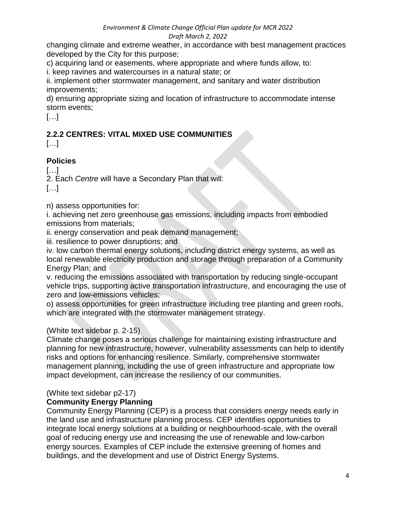changing climate and extreme weather, in accordance with best management practices developed by the City for this purpose;

c) acquiring land or easements, where appropriate and where funds allow, to:

i. keep ravines and watercourses in a natural state; or

ii. implement other stormwater management, and sanitary and water distribution improvements;

d) ensuring appropriate sizing and location of infrastructure to accommodate intense storm events;

[…]

# **2.2.2 CENTRES: VITAL MIXED USE COMMUNITIES**

[…]

# **Policies**

[…]

2. Each *Centre* will have a Secondary Plan that will:

[…]

n) assess opportunities for:

i. achieving net zero greenhouse gas emissions, including impacts from embodied emissions from materials;

ii. energy conservation and peak demand management;

iii. resilience to power disruptions; and

iv. low carbon thermal energy solutions, including district energy systems, as well as local renewable electricity production and storage through preparation of a Community Energy Plan; and

v. reducing the emissions associated with transportation by reducing single-occupant vehicle trips, supporting active transportation infrastructure, and encouraging the use of zero and low-emissions vehicles;

o) assess opportunities for green infrastructure including tree planting and green roofs, which are integrated with the stormwater management strategy.

### (White text sidebar p. 2-15)

Climate change poses a serious challenge for maintaining existing infrastructure and planning for new infrastructure, however, vulnerability assessments can help to identify risks and options for enhancing resilience. Similarly, comprehensive stormwater management planning, including the use of green infrastructure and appropriate low impact development, can increase the resiliency of our communities.

# (White text sidebar p2-17)

### **Community Energy Planning**

Community Energy Planning (CEP) is a process that considers energy needs early in the land use and infrastructure planning process. CEP identifies opportunities to integrate local energy solutions at a building or neighbourhood-scale, with the overall goal of reducing energy use and increasing the use of renewable and low-carbon energy sources. Examples of CEP include the extensive greening of homes and buildings, and the development and use of District Energy Systems.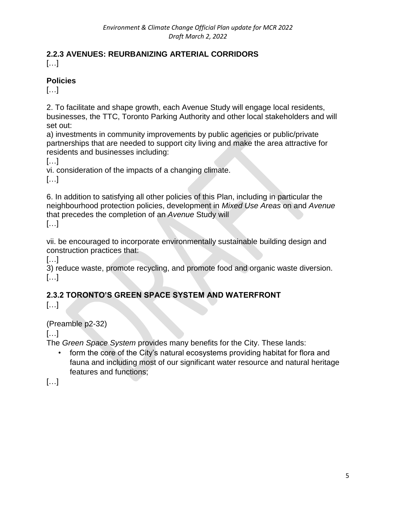#### **2.2.3 AVENUES: REURBANIZING ARTERIAL CORRIDORS** […]

## **Policies**

 $[...]$ 

2. To facilitate and shape growth, each Avenue Study will engage local residents, businesses, the TTC, Toronto Parking Authority and other local stakeholders and will set out:

a) investments in community improvements by public agencies or public/private partnerships that are needed to support city living and make the area attractive for residents and businesses including:

 $\left[\ldots\right]$ 

vi. consideration of the impacts of a changing climate.

[…]

6. In addition to satisfying all other policies of this Plan, including in particular the neighbourhood protection policies, development in *Mixed Use Areas* on and *Avenue* that precedes the completion of an *Avenue* Study will

[…]

vii. be encouraged to incorporate environmentally sustainable building design and construction practices that:

[…]

3) reduce waste, promote recycling, and promote food and organic waste diversion. […]

# **2.3.2 TORONTO'S GREEN SPACE SYSTEM AND WATERFRONT**

[…]

# (Preamble p2-32)

[…]

The *Green Space System* provides many benefits for the City. These lands:

• form the core of the City's natural ecosystems providing habitat for flora and fauna and including most of our significant water resource and natural heritage features and functions;

[…]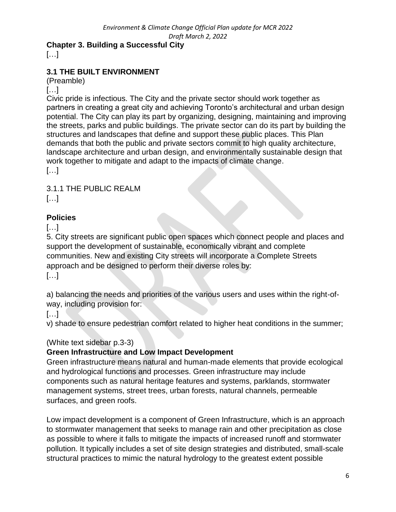# **Chapter 3. Building a Successful City**

[…]

# **3.1 THE BUILT ENVIRONMENT**

(Preamble)

#### […]

Civic pride is infectious. The City and the private sector should work together as partners in creating a great city and achieving Toronto's architectural and urban design potential. The City can play its part by organizing, designing, maintaining and improving the streets, parks and public buildings. The private sector can do its part by building the structures and landscapes that define and support these public places. This Plan demands that both the public and private sectors commit to high quality architecture, landscape architecture and urban design, and environmentally sustainable design that work together to mitigate and adapt to the impacts of climate change. […]

3.1.1 THE PUBLIC REALM […]

### **Policies**

[…]

5. City streets are significant public open spaces which connect people and places and support the development of sustainable, economically vibrant and complete communities. New and existing City streets will incorporate a Complete Streets approach and be designed to perform their diverse roles by: […]

a) balancing the needs and priorities of the various users and uses within the right-ofway, including provision for:

[…]

v) shade to ensure pedestrian comfort related to higher heat conditions in the summer;

### (White text sidebar p.3-3)

### **Green Infrastructure and Low Impact Development**

Green infrastructure means natural and human-made elements that provide ecological and hydrological functions and processes. Green infrastructure may include components such as natural heritage features and systems, parklands, stormwater management systems, street trees, urban forests, natural channels, permeable surfaces, and green roofs.

Low impact development is a component of Green Infrastructure, which is an approach to stormwater management that seeks to manage rain and other precipitation as close as possible to where it falls to mitigate the impacts of increased runoff and stormwater pollution. It typically includes a set of site design strategies and distributed, small-scale structural practices to mimic the natural hydrology to the greatest extent possible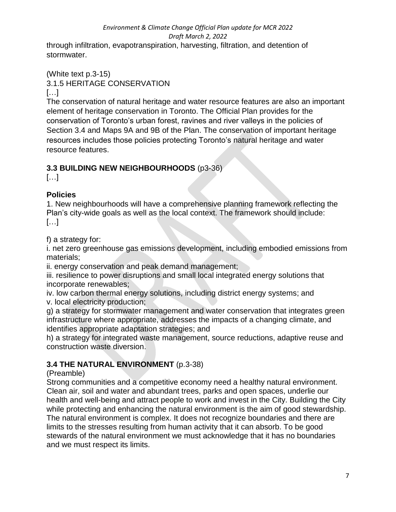through infiltration, evapotranspiration, harvesting, filtration, and detention of stormwater.

#### (White text p.3-15) 3.1.5 HERITAGE CONSERVATION […]

The conservation of natural heritage and water resource features are also an important element of heritage conservation in Toronto. The Official Plan provides for the conservation of Toronto's urban forest, ravines and river valleys in the policies of Section 3.4 and Maps 9A and 9B of the Plan. The conservation of important heritage resources includes those policies protecting Toronto's natural heritage and water resource features.

# **3.3 BUILDING NEW NEIGHBOURHOODS** (p3-36)

 $[...]$ 

# **Policies**

1. New neighbourhoods will have a comprehensive planning framework reflecting the Plan's city-wide goals as well as the local context. The framework should include: […]

f) a strategy for:

i. net zero greenhouse gas emissions development, including embodied emissions from materials;

ii. energy conservation and peak demand management;

iii. resilience to power disruptions and small local integrated energy solutions that incorporate renewables;

iv. low carbon thermal energy solutions, including district energy systems; and v. local electricity production;

g) a strategy for stormwater management and water conservation that integrates green infrastructure where appropriate, addresses the impacts of a changing climate, and identifies appropriate adaptation strategies; and

h) a strategy for integrated waste management, source reductions, adaptive reuse and construction waste diversion.

# **3.4 THE NATURAL ENVIRONMENT** (p.3-38)

(Preamble)

Strong communities and a competitive economy need a healthy natural environment. Clean air, soil and water and abundant trees, parks and open spaces, underlie our health and well-being and attract people to work and invest in the City. Building the City while protecting and enhancing the natural environment is the aim of good stewardship. The natural environment is complex. It does not recognize boundaries and there are limits to the stresses resulting from human activity that it can absorb. To be good stewards of the natural environment we must acknowledge that it has no boundaries and we must respect its limits.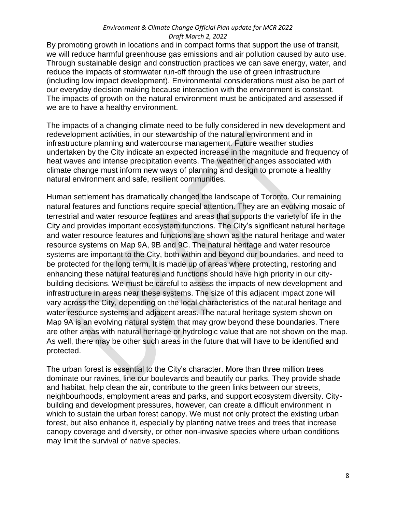By promoting growth in locations and in compact forms that support the use of transit, we will reduce harmful greenhouse gas emissions and air pollution caused by auto use. Through sustainable design and construction practices we can save energy, water, and reduce the impacts of stormwater run-off through the use of green infrastructure (including low impact development). Environmental considerations must also be part of our everyday decision making because interaction with the environment is constant. The impacts of growth on the natural environment must be anticipated and assessed if we are to have a healthy environment.

The impacts of a changing climate need to be fully considered in new development and redevelopment activities, in our stewardship of the natural environment and in infrastructure planning and watercourse management. Future weather studies undertaken by the City indicate an expected increase in the magnitude and frequency of heat waves and intense precipitation events. The weather changes associated with climate change must inform new ways of planning and design to promote a healthy natural environment and safe, resilient communities.

Human settlement has dramatically changed the landscape of Toronto. Our remaining natural features and functions require special attention. They are an evolving mosaic of terrestrial and water resource features and areas that supports the variety of life in the City and provides important ecosystem functions. The City's significant natural heritage and water resource features and functions are shown as the natural heritage and water resource systems on Map 9A, 9B and 9C. The natural heritage and water resource systems are important to the City, both within and beyond our boundaries, and need to be protected for the long term. It is made up of areas where protecting, restoring and enhancing these natural features and functions should have high priority in our citybuilding decisions. We must be careful to assess the impacts of new development and infrastructure in areas near these systems. The size of this adjacent impact zone will vary across the City, depending on the local characteristics of the natural heritage and water resource systems and adjacent areas. The natural heritage system shown on Map 9A is an evolving natural system that may grow beyond these boundaries. There are other areas with natural heritage or hydrologic value that are not shown on the map. As well, there may be other such areas in the future that will have to be identified and protected.

The urban forest is essential to the City's character. More than three million trees dominate our ravines, line our boulevards and beautify our parks. They provide shade and habitat, help clean the air, contribute to the green links between our streets, neighbourhoods, employment areas and parks, and support ecosystem diversity. Citybuilding and development pressures, however, can create a difficult environment in which to sustain the urban forest canopy. We must not only protect the existing urban forest, but also enhance it, especially by planting native trees and trees that increase canopy coverage and diversity, or other non-invasive species where urban conditions may limit the survival of native species.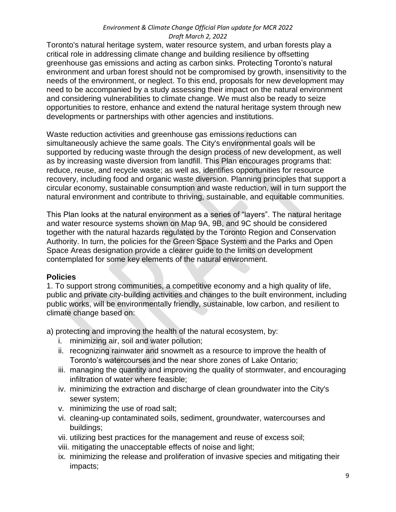Toronto's natural heritage system, water resource system, and urban forests play a critical role in addressing climate change and building resilience by offsetting greenhouse gas emissions and acting as carbon sinks. Protecting Toronto's natural environment and urban forest should not be compromised by growth, insensitivity to the needs of the environment, or neglect. To this end, proposals for new development may need to be accompanied by a study assessing their impact on the natural environment and considering vulnerabilities to climate change. We must also be ready to seize opportunities to restore, enhance and extend the natural heritage system through new developments or partnerships with other agencies and institutions.

Waste reduction activities and greenhouse gas emissions reductions can simultaneously achieve the same goals. The City's environmental goals will be supported by reducing waste through the design process of new development, as well as by increasing waste diversion from landfill. This Plan encourages programs that: reduce, reuse, and recycle waste; as well as, identifies opportunities for resource recovery, including food and organic waste diversion. Planning principles that support a circular economy, sustainable consumption and waste reduction, will in turn support the natural environment and contribute to thriving, sustainable, and equitable communities.

This Plan looks at the natural environment as a series of "layers". The natural heritage and water resource systems shown on Map 9A, 9B, and 9C should be considered together with the natural hazards regulated by the Toronto Region and Conservation Authority. In turn, the policies for the Green Space System and the Parks and Open Space Areas designation provide a clearer guide to the limits on development contemplated for some key elements of the natural environment.

#### **Policies**

1. To support strong communities, a competitive economy and a high quality of life, public and private city-building activities and changes to the built environment, including public works, will be environmentally friendly, sustainable, low carbon, and resilient to climate change based on:

a) protecting and improving the health of the natural ecosystem, by:

- i. minimizing air, soil and water pollution;
- ii. recognizing rainwater and snowmelt as a resource to improve the health of Toronto's watercourses and the near shore zones of Lake Ontario;
- iii. managing the quantity and improving the quality of stormwater, and encouraging infiltration of water where feasible;
- iv. minimizing the extraction and discharge of clean groundwater into the City's sewer system;
- v. minimizing the use of road salt;
- vi. cleaning-up contaminated soils, sediment, groundwater, watercourses and buildings;
- vii. utilizing best practices for the management and reuse of excess soil;
- viii. mitigating the unacceptable effects of noise and light;
- ix. minimizing the release and proliferation of invasive species and mitigating their impacts;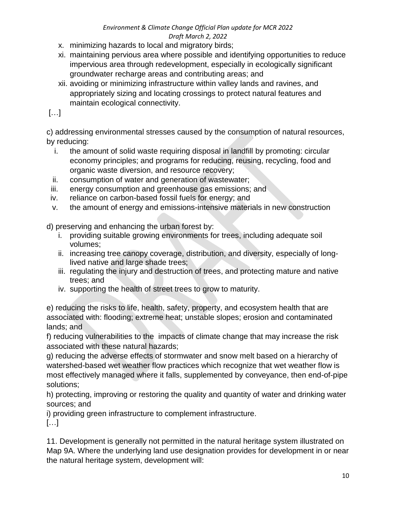- x. minimizing hazards to local and migratory birds;
- xi. maintaining pervious area where possible and identifying opportunities to reduce impervious area through redevelopment, especially in ecologically significant groundwater recharge areas and contributing areas; and
- xii. avoiding or minimizing infrastructure within valley lands and ravines, and appropriately sizing and locating crossings to protect natural features and maintain ecological connectivity.

[…]

c) addressing environmental stresses caused by the consumption of natural resources, by reducing:

- i. the amount of solid waste requiring disposal in landfill by promoting: circular economy principles; and programs for reducing, reusing, recycling, food and organic waste diversion, and resource recovery;
- ii. consumption of water and generation of wastewater;
- iii. energy consumption and greenhouse gas emissions; and
- iv. reliance on carbon-based fossil fuels for energy; and
- v. the amount of energy and emissions-intensive materials in new construction

d) preserving and enhancing the urban forest by:

- i. providing suitable growing environments for trees, including adequate soil volumes;
- ii. increasing tree canopy coverage, distribution, and diversity, especially of longlived native and large shade trees;
- iii. regulating the injury and destruction of trees, and protecting mature and native trees; and
- iv. supporting the health of street trees to grow to maturity.

e) reducing the risks to life, health, safety, property, and ecosystem health that are associated with: flooding; extreme heat; unstable slopes; erosion and contaminated lands; and

f) reducing vulnerabilities to the impacts of climate change that may increase the risk associated with these natural hazards;

g) reducing the adverse effects of stormwater and snow melt based on a hierarchy of watershed-based wet weather flow practices which recognize that wet weather flow is most effectively managed where it falls, supplemented by conveyance, then end-of-pipe solutions;

h) protecting, improving or restoring the quality and quantity of water and drinking water sources; and

i) providing green infrastructure to complement infrastructure.

[…]

11. Development is generally not permitted in the natural heritage system illustrated on Map 9A. Where the underlying land use designation provides for development in or near the natural heritage system, development will: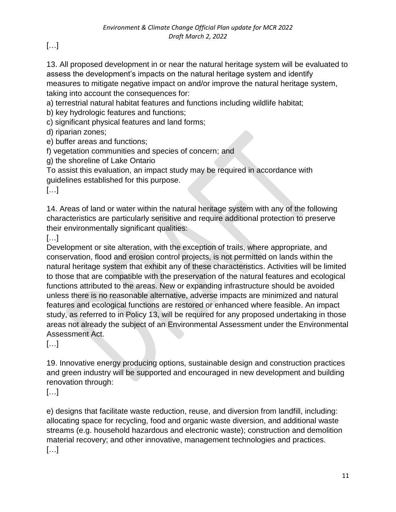[…]

13. All proposed development in or near the natural heritage system will be evaluated to assess the development's impacts on the natural heritage system and identify measures to mitigate negative impact on and/or improve the natural heritage system, taking into account the consequences for:

a) terrestrial natural habitat features and functions including wildlife habitat;

b) key hydrologic features and functions;

c) significant physical features and land forms;

d) riparian zones;

e) buffer areas and functions;

f) vegetation communities and species of concern; and

g) the shoreline of Lake Ontario

To assist this evaluation, an impact study may be required in accordance with guidelines established for this purpose.

[…]

14. Areas of land or water within the natural heritage system with any of the following characteristics are particularly sensitive and require additional protection to preserve their environmentally significant qualities:

[…]

Development or site alteration, with the exception of trails, where appropriate, and conservation, flood and erosion control projects, is not permitted on lands within the natural heritage system that exhibit any of these characteristics. Activities will be limited to those that are compatible with the preservation of the natural features and ecological functions attributed to the areas. New or expanding infrastructure should be avoided unless there is no reasonable alternative, adverse impacts are minimized and natural features and ecological functions are restored or enhanced where feasible. An impact study, as referred to in Policy 13, will be required for any proposed undertaking in those areas not already the subject of an Environmental Assessment under the Environmental Assessment Act.

[…]

19. Innovative energy producing options, sustainable design and construction practices and green industry will be supported and encouraged in new development and building renovation through:

[…]

e) designs that facilitate waste reduction, reuse, and diversion from landfill, including: allocating space for recycling, food and organic waste diversion, and additional waste streams (e.g. household hazardous and electronic waste); construction and demolition material recovery; and other innovative, management technologies and practices. […]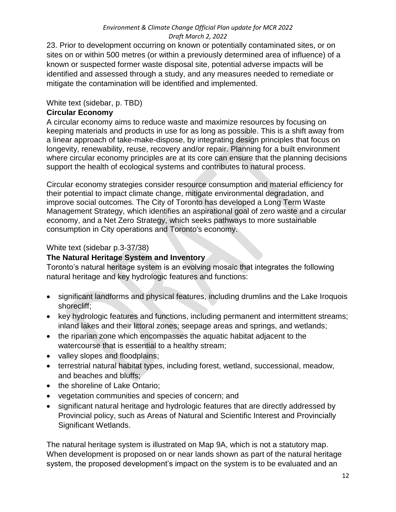23. Prior to development occurring on known or potentially contaminated sites, or on sites on or within 500 metres (or within a previously determined area of influence) of a known or suspected former waste disposal site, potential adverse impacts will be identified and assessed through a study, and any measures needed to remediate or mitigate the contamination will be identified and implemented.

#### White text (sidebar, p. TBD)

#### **Circular Economy**

A circular economy aims to reduce waste and maximize resources by focusing on keeping materials and products in use for as long as possible. This is a shift away from a linear approach of take-make-dispose, by integrating design principles that focus on longevity, renewability, reuse, recovery and/or repair. Planning for a built environment where circular economy principles are at its core can ensure that the planning decisions support the health of ecological systems and contributes to natural process.

Circular economy strategies consider resource consumption and material efficiency for their potential to impact climate change, mitigate environmental degradation, and improve social outcomes. The City of Toronto has developed a Long Term Waste Management Strategy, which identifies an aspirational goal of zero waste and a circular economy, and a Net Zero Strategy, which seeks pathways to more sustainable consumption in City operations and Toronto's economy.

#### White text (sidebar p.3-37/38)

### **The Natural Heritage System and Inventory**

Toronto's natural heritage system is an evolving mosaic that integrates the following natural heritage and key hydrologic features and functions:

- significant landforms and physical features, including drumlins and the Lake Iroquois shorecliff;
- key hydrologic features and functions, including permanent and intermittent streams; inland lakes and their littoral zones; seepage areas and springs, and wetlands;
- the riparian zone which encompasses the aquatic habitat adjacent to the watercourse that is essential to a healthy stream;
- valley slopes and floodplains;
- terrestrial natural habitat types, including forest, wetland, successional, meadow, and beaches and bluffs;
- the shoreline of Lake Ontario;
- vegetation communities and species of concern; and
- significant natural heritage and hydrologic features that are directly addressed by Provincial policy, such as Areas of Natural and Scientific Interest and Provincially Significant Wetlands.

The natural heritage system is illustrated on Map 9A, which is not a statutory map. When development is proposed on or near lands shown as part of the natural heritage system, the proposed development's impact on the system is to be evaluated and an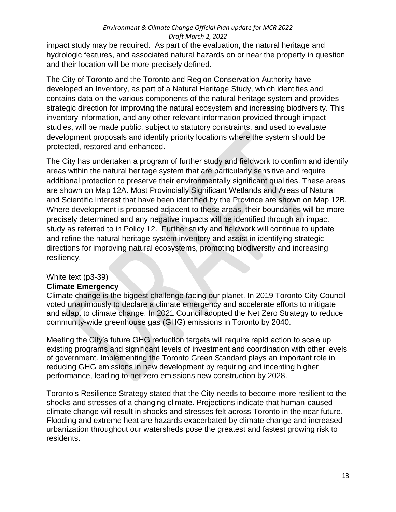impact study may be required. As part of the evaluation, the natural heritage and hydrologic features, and associated natural hazards on or near the property in question and their location will be more precisely defined.

The City of Toronto and the Toronto and Region Conservation Authority have developed an Inventory, as part of a Natural Heritage Study, which identifies and contains data on the various components of the natural heritage system and provides strategic direction for improving the natural ecosystem and increasing biodiversity. This inventory information, and any other relevant information provided through impact studies, will be made public, subject to statutory constraints, and used to evaluate development proposals and identify priority locations where the system should be protected, restored and enhanced.

The City has undertaken a program of further study and fieldwork to confirm and identify areas within the natural heritage system that are particularly sensitive and require additional protection to preserve their environmentally significant qualities. These areas are shown on Map 12A. Most Provincially Significant Wetlands and Areas of Natural and Scientific Interest that have been identified by the Province are shown on Map 12B. Where development is proposed adjacent to these areas, their boundaries will be more precisely determined and any negative impacts will be identified through an impact study as referred to in Policy 12. Further study and fieldwork will continue to update and refine the natural heritage system inventory and assist in identifying strategic directions for improving natural ecosystems, promoting biodiversity and increasing resiliency.

#### White text (p3-39)

#### **Climate Emergency**

Climate change is the biggest challenge facing our planet. In 2019 Toronto City Council voted unanimously to declare a climate emergency and accelerate efforts to mitigate and adapt to climate change. In 2021 Council adopted the Net Zero Strategy to reduce community-wide greenhouse gas (GHG) emissions in Toronto by 2040.

Meeting the City's future GHG reduction targets will require rapid action to scale up existing programs and significant levels of investment and coordination with other levels of government. Implementing the Toronto Green Standard plays an important role in reducing GHG emissions in new development by requiring and incenting higher performance, leading to net zero emissions new construction by 2028.

Toronto's Resilience Strategy stated that the City needs to become more resilient to the shocks and stresses of a changing climate. Projections indicate that human-caused climate change will result in shocks and stresses felt across Toronto in the near future. Flooding and extreme heat are hazards exacerbated by climate change and increased urbanization throughout our watersheds pose the greatest and fastest growing risk to residents.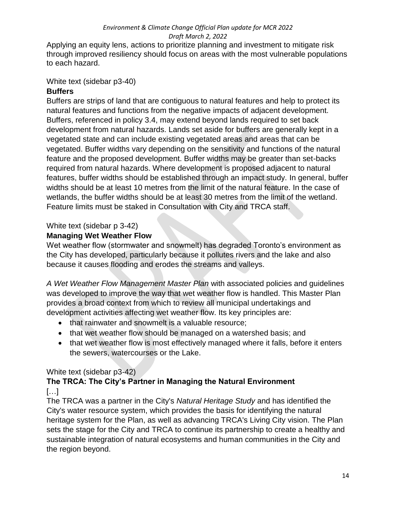Applying an equity lens, actions to prioritize planning and investment to mitigate risk through improved resiliency should focus on areas with the most vulnerable populations to each hazard.

#### White text (sidebar p3-40)

#### **Buffers**

Buffers are strips of land that are contiguous to natural features and help to protect its natural features and functions from the negative impacts of adjacent development. Buffers, referenced in policy 3.4, may extend beyond lands required to set back development from natural hazards. Lands set aside for buffers are generally kept in a vegetated state and can include existing vegetated areas and areas that can be vegetated. Buffer widths vary depending on the sensitivity and functions of the natural feature and the proposed development. Buffer widths may be greater than set-backs required from natural hazards. Where development is proposed adjacent to natural features, buffer widths should be established through an impact study. In general, buffer widths should be at least 10 metres from the limit of the natural feature. In the case of wetlands, the buffer widths should be at least 30 metres from the limit of the wetland. Feature limits must be staked in Consultation with City and TRCA staff.

## White text (sidebar p 3-42)

#### **Managing Wet Weather Flow**

Wet weather flow (stormwater and snowmelt) has degraded Toronto's environment as the City has developed, particularly because it pollutes rivers and the lake and also because it causes flooding and erodes the streams and valleys.

*A Wet Weather Flow Management Master Plan* with associated policies and guidelines was developed to improve the way that wet weather flow is handled. This Master Plan provides a broad context from which to review all municipal undertakings and development activities affecting wet weather flow. Its key principles are:

- that rainwater and snowmelt is a valuable resource:
- that wet weather flow should be managed on a watershed basis; and
- that wet weather flow is most effectively managed where it falls, before it enters the sewers, watercourses or the Lake.

#### White text (sidebar p3-42)

#### **The TRCA: The City's Partner in Managing the Natural Environment**  […]

The TRCA was a partner in the City's *Natural Heritage Study* and has identified the City's water resource system, which provides the basis for identifying the natural heritage system for the Plan, as well as advancing TRCA's Living City vision. The Plan sets the stage for the City and TRCA to continue its partnership to create a healthy and sustainable integration of natural ecosystems and human communities in the City and the region beyond.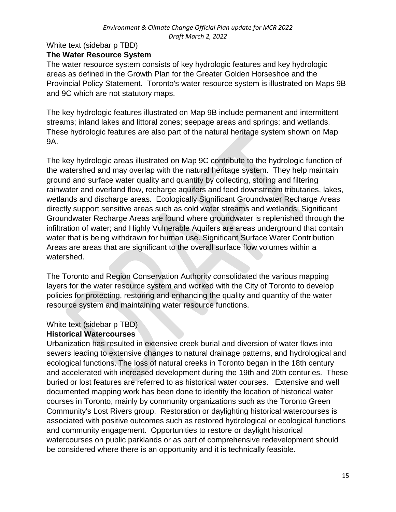#### White text (sidebar p TBD) **The Water Resource System**

The water resource system consists of key hydrologic features and key hydrologic areas as defined in the Growth Plan for the Greater Golden Horseshoe and the Provincial Policy Statement. Toronto's water resource system is illustrated on Maps 9B and 9C which are not statutory maps.

The key hydrologic features illustrated on Map 9B include permanent and intermittent streams; inland lakes and littoral zones; seepage areas and springs; and wetlands. These hydrologic features are also part of the natural heritage system shown on Map 9A.

The key hydrologic areas illustrated on Map 9C contribute to the hydrologic function of the watershed and may overlap with the natural heritage system. They help maintain ground and surface water quality and quantity by collecting, storing and filtering rainwater and overland flow, recharge aquifers and feed downstream tributaries, lakes, wetlands and discharge areas. Ecologically Significant Groundwater Recharge Areas directly support sensitive areas such as cold water streams and wetlands; Significant Groundwater Recharge Areas are found where groundwater is replenished through the infiltration of water; and Highly Vulnerable Aquifers are areas underground that contain water that is being withdrawn for human use. Significant Surface Water Contribution Areas are areas that are significant to the overall surface flow volumes within a watershed.

The Toronto and Region Conservation Authority consolidated the various mapping layers for the water resource system and worked with the City of Toronto to develop policies for protecting, restoring and enhancing the quality and quantity of the water resource system and maintaining water resource functions.

# White text (sidebar p TBD)

### **Historical Watercourses**

Urbanization has resulted in extensive creek burial and diversion of water flows into sewers leading to extensive changes to natural drainage patterns, and hydrological and ecological functions. The loss of natural creeks in Toronto began in the 18th century and accelerated with increased development during the 19th and 20th centuries. These buried or lost features are referred to as historical water courses. Extensive and well documented mapping work has been done to identify the location of historical water courses in Toronto, mainly by community organizations such as the Toronto Green Community's Lost Rivers group. Restoration or daylighting historical watercourses is associated with positive outcomes such as restored hydrological or ecological functions and community engagement. Opportunities to restore or daylight historical watercourses on public parklands or as part of comprehensive redevelopment should be considered where there is an opportunity and it is technically feasible.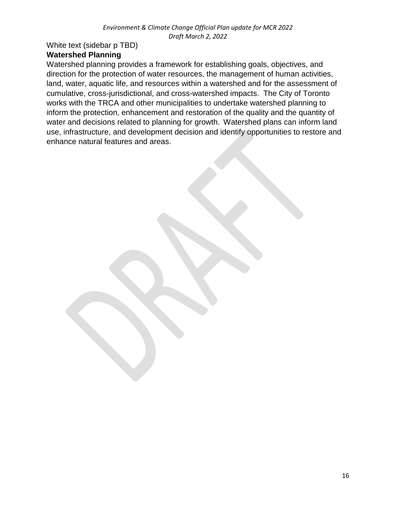# White text (sidebar p TBD)

## **Watershed Planning**

Watershed planning provides a framework for establishing goals, objectives, and direction for the protection of water resources, the management of human activities, land, water, aquatic life, and resources within a watershed and for the assessment of cumulative, cross-jurisdictional, and cross-watershed impacts. The City of Toronto works with the TRCA and other municipalities to undertake watershed planning to inform the protection, enhancement and restoration of the quality and the quantity of water and decisions related to planning for growth. Watershed plans can inform land use, infrastructure, and development decision and identify opportunities to restore and enhance natural features and areas.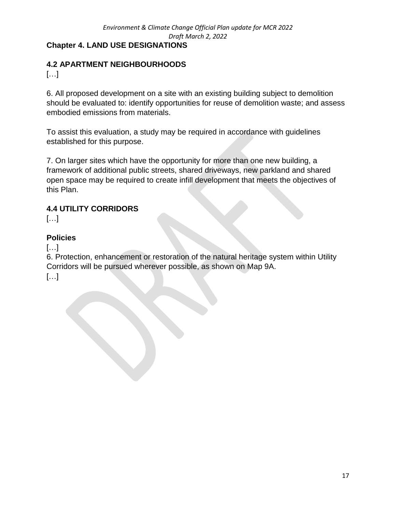## **Chapter 4. LAND USE DESIGNATIONS**

## **4.2 APARTMENT NEIGHBOURHOODS**

[…]

6. All proposed development on a site with an existing building subject to demolition should be evaluated to: identify opportunities for reuse of demolition waste; and assess embodied emissions from materials.

To assist this evaluation, a study may be required in accordance with guidelines established for this purpose.

7. On larger sites which have the opportunity for more than one new building, a framework of additional public streets, shared driveways, new parkland and shared open space may be required to create infill development that meets the objectives of this Plan.

# **4.4 UTILITY CORRIDORS**

[…]

### **Policies**

[…]

6. Protection, enhancement or restoration of the natural heritage system within Utility Corridors will be pursued wherever possible, as shown on Map 9A. […]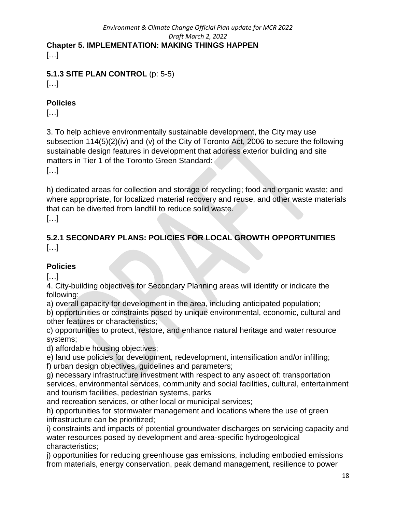# *Environment & Climate Change Official Plan update for MCR 2022 Draft March 2, 2022* **Chapter 5. IMPLEMENTATION: MAKING THINGS HAPPEN**

[…]

# **5.1.3 SITE PLAN CONTROL** (p: 5-5)

[…]

## **Policies**

[…]

3. To help achieve environmentally sustainable development, the City may use subsection 114(5)(2)(iv) and (v) of the City of Toronto Act, 2006 to secure the following sustainable design features in development that address exterior building and site matters in Tier 1 of the Toronto Green Standard:

[…]

h) dedicated areas for collection and storage of recycling; food and organic waste; and where appropriate, for localized material recovery and reuse, and other waste materials that can be diverted from landfill to reduce solid waste.

[…]

# **5.2.1 SECONDARY PLANS: POLICIES FOR LOCAL GROWTH OPPORTUNITIES** […]

# **Policies**

[…]

4. City-building objectives for Secondary Planning areas will identify or indicate the following:

a) overall capacity for development in the area, including anticipated population;

b) opportunities or constraints posed by unique environmental, economic, cultural and other features or characteristics;

c) opportunities to protect, restore, and enhance natural heritage and water resource systems;

d) affordable housing objectives;

e) land use policies for development, redevelopment, intensification and/or infilling;

f) urban design objectives, guidelines and parameters;

g) necessary infrastructure investment with respect to any aspect of: transportation services, environmental services, community and social facilities, cultural, entertainment and tourism facilities, pedestrian systems, parks

and recreation services, or other local or municipal services;

h) opportunities for stormwater management and locations where the use of green infrastructure can be prioritized;

i) constraints and impacts of potential groundwater discharges on servicing capacity and water resources posed by development and area-specific hydrogeological characteristics;

j) opportunities for reducing greenhouse gas emissions, including embodied emissions from materials, energy conservation, peak demand management, resilience to power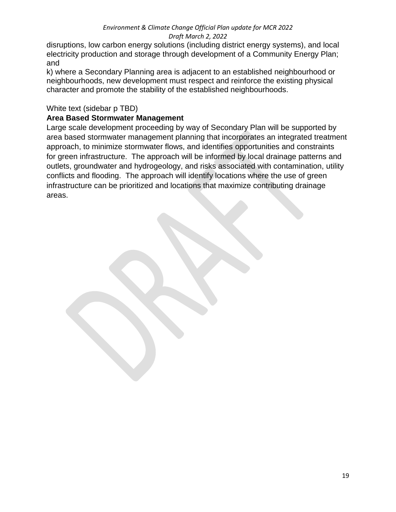disruptions, low carbon energy solutions (including district energy systems), and local electricity production and storage through development of a Community Energy Plan; and

k) where a Secondary Planning area is adjacent to an established neighbourhood or neighbourhoods, new development must respect and reinforce the existing physical character and promote the stability of the established neighbourhoods.

#### White text (sidebar p TBD)

#### **Area Based Stormwater Management**

Large scale development proceeding by way of Secondary Plan will be supported by area based stormwater management planning that incorporates an integrated treatment approach, to minimize stormwater flows, and identifies opportunities and constraints for green infrastructure. The approach will be informed by local drainage patterns and outlets, groundwater and hydrogeology, and risks associated with contamination, utility conflicts and flooding. The approach will identify locations where the use of green infrastructure can be prioritized and locations that maximize contributing drainage areas.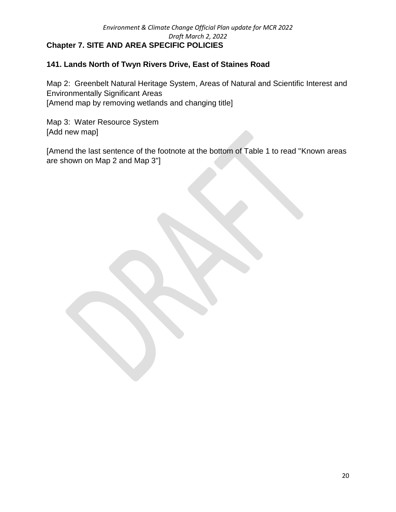#### **141. Lands North of Twyn Rivers Drive, East of Staines Road**

Map 2: Greenbelt Natural Heritage System, Areas of Natural and Scientific Interest and Environmentally Significant Areas [Amend map by removing wetlands and changing title]

Map 3: Water Resource System [Add new map]

[Amend the last sentence of the footnote at the bottom of Table 1 to read "Known areas are shown on Map 2 and Map 3"]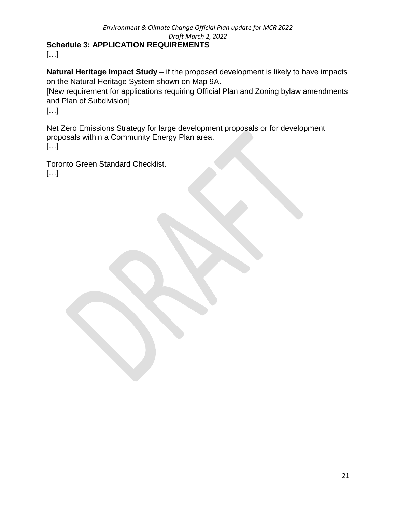[…]

**Natural Heritage Impact Study** – if the proposed development is likely to have impacts on the Natural Heritage System shown on Map 9A.

[New requirement for applications requiring Official Plan and Zoning bylaw amendments and Plan of Subdivision]

[…]

Net Zero Emissions Strategy for large development proposals or for development proposals within a Community Energy Plan area. […]

Toronto Green Standard Checklist. […]